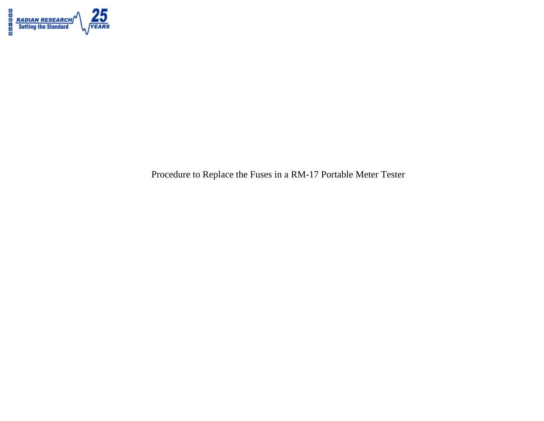

Procedure to Replace the Fuses in a RM-17 Portable Meter Tester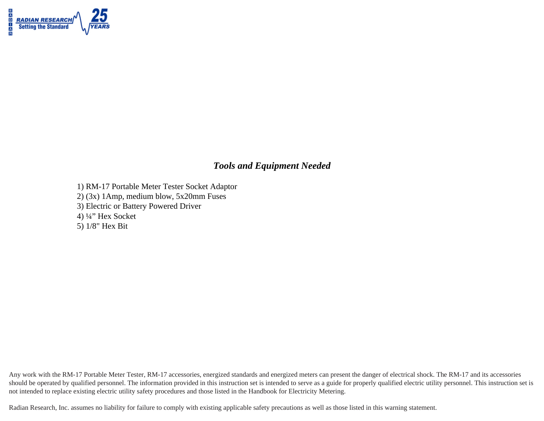

### *Tools and Equipment Needed*

- 1) RM-17 Portable Meter Tester Socket Adaptor
- 2) (3x) 1Amp, medium blow, 5x20mm Fuses
- 3) Electric or Battery Powered Driver
- 4) ¼" Hex Socket
- 5) 1/8" Hex Bit

Any work with the RM-17 Portable Meter Tester, RM-17 accessories, energized standards and energized meters can present the danger of electrical shock. The RM-17 and its accessories should be operated by qualified personnel. The information provided in this instruction set is intended to serve as a guide for properly qualified electric utility personnel. This instruction set is not intended to replace existing electric utility safety procedures and those listed in the Handbook for Electricity Metering.

Radian Research, Inc. assumes no liability for failure to comply with existing applicable safety precautions as well as those listed in this warning statement.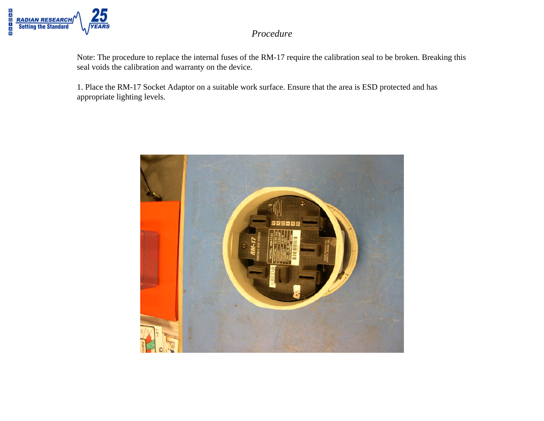

Note: The procedure to replace the internal fuses of the RM-17 require the calibration seal to be broken. Breaking this seal voids the calibration and warranty on the device.

1. Place the RM-17 Socket Adaptor on a suitable work surface. Ensure that the area is ESD protected and has appropriate lighting levels.

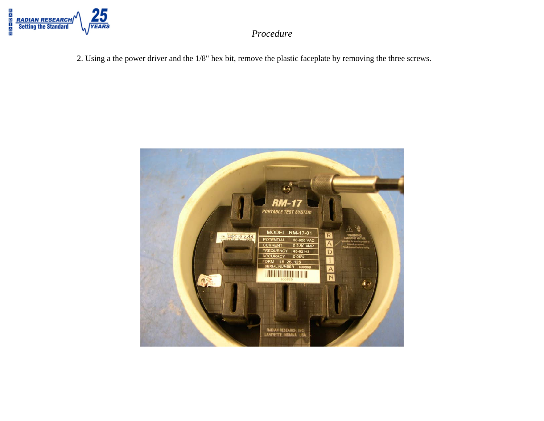

2. Using a the power driver and the 1/8" hex bit, remove the plastic faceplate by removing the three screws.

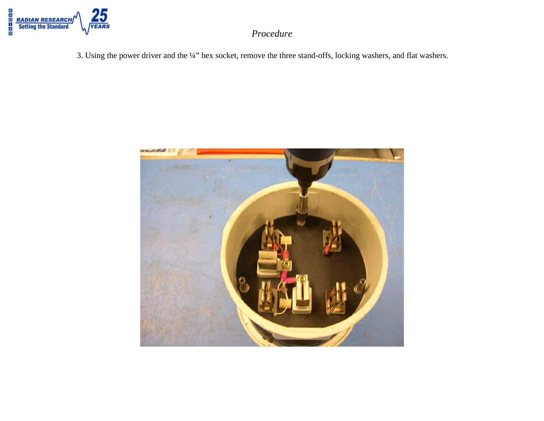

3. Using the power driver and the ¼" hex socket, remove the three stand-offs, locking washers, and flat washers.

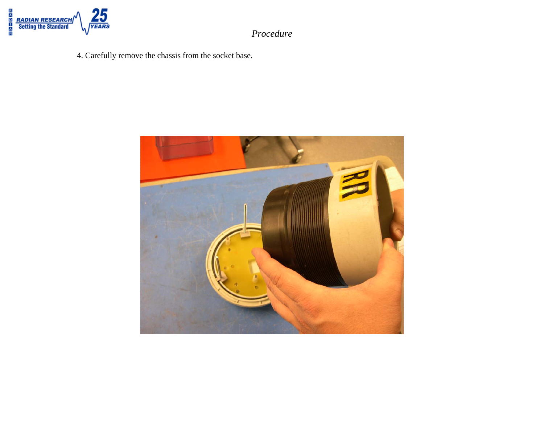

4. Carefully remove the chassis from the socket base.

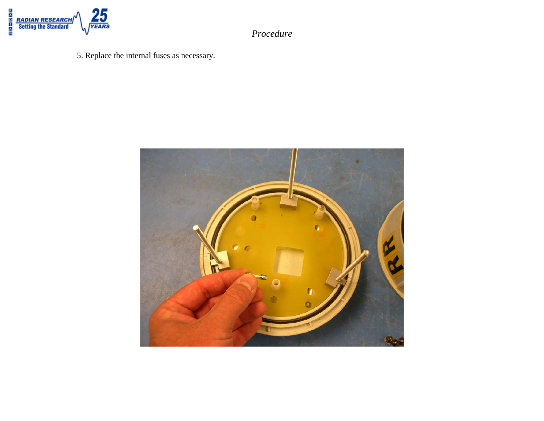

- *Procedure*
- 5. Replace the internal fuses as necessary.